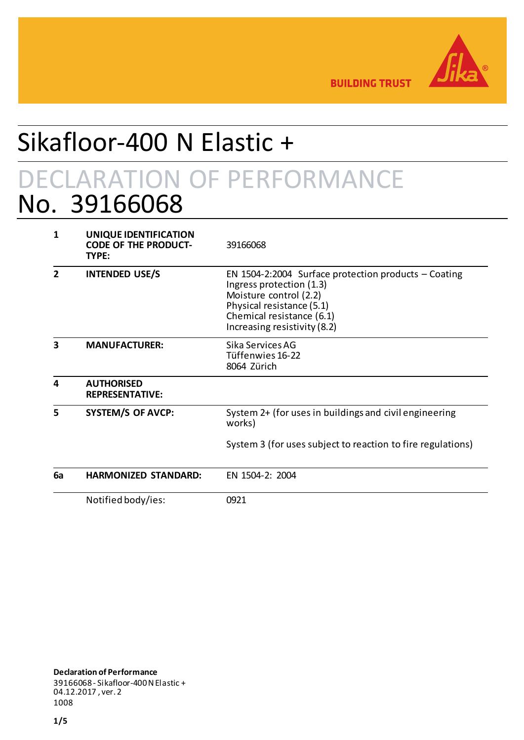

**BUILDING TRUST** 

# Sikafloor-400 N Elastic +

## DECLARATION OF PERFORMANCE No. 39166068

| 1                       | UNIQUE IDENTIFICATION<br><b>CODE OF THE PRODUCT-</b><br>TYPE: | 39166068                                                                                                                                                                                               |
|-------------------------|---------------------------------------------------------------|--------------------------------------------------------------------------------------------------------------------------------------------------------------------------------------------------------|
|                         | <b>INTENDED USE/S</b>                                         | EN 1504-2:2004 Surface protection products $-$ Coating<br>Ingress protection (1.3)<br>Moisture control (2.2)<br>Physical resistance (5.1)<br>Chemical resistance (6.1)<br>Increasing resistivity (8.2) |
| $\overline{\mathbf{3}}$ | <b>MANUFACTURER:</b>                                          | Sika Services AG<br>Tüffenwies 16-22<br>8064 Zürich                                                                                                                                                    |
| 4                       | <b>AUTHORISED</b><br><b>REPRESENTATIVE:</b>                   |                                                                                                                                                                                                        |
| 5                       | <b>SYSTEM/S OF AVCP:</b>                                      | System 2+ (for uses in buildings and civil engineering<br>works)                                                                                                                                       |
|                         |                                                               | System 3 (for uses subject to reaction to fire regulations)                                                                                                                                            |
| 6a                      | <b>HARMONIZED STANDARD:</b>                                   | EN 1504-2: 2004                                                                                                                                                                                        |
|                         | Notified body/ies:                                            | 0921                                                                                                                                                                                                   |

**Declaration of Performance** 39166068- Sikafloor-400 N Elastic + 04.12.2017 , ver. 2 1008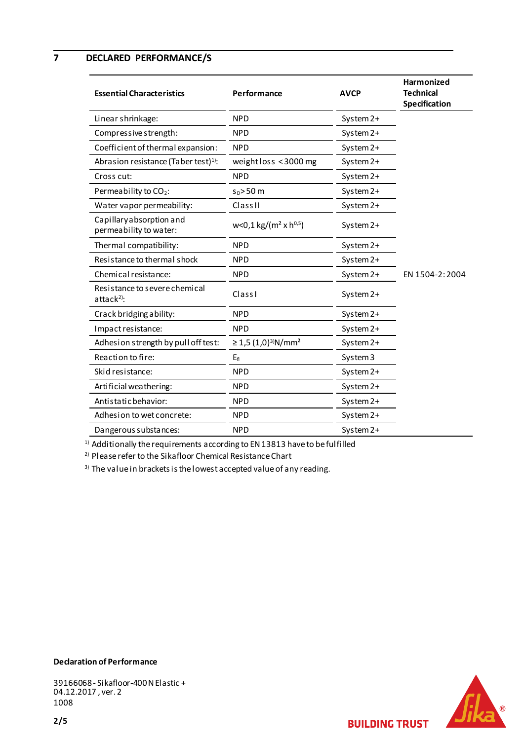**7 DECLARED PERFORMANCE/S**

| <b>Essential Characteristics</b>                        | Performance                                      | <b>AVCP</b>         | <b>Harmonized</b><br><b>Technical</b><br>Specification |
|---------------------------------------------------------|--------------------------------------------------|---------------------|--------------------------------------------------------|
| Linear shrinkage:                                       | <b>NPD</b>                                       | System 2+           |                                                        |
| Compressive strength:                                   | <b>NPD</b>                                       | System 2+           |                                                        |
| Coefficient of thermal expansion:                       | <b>NPD</b>                                       | System 2+           |                                                        |
| Abrasion resistance (Taber test) <sup>1)</sup> :        | weight loss < 3000 mg                            | System 2+           |                                                        |
| Cross cut:                                              | <b>NPD</b>                                       | System 2+           |                                                        |
| Permeability to CO <sub>2</sub> :                       | $sD$ >50 m                                       | System 2+           |                                                        |
| Water vapor permeability:                               | Class <sub>II</sub>                              | System 2+           |                                                        |
| Capillary absorption and<br>permeability to water:      | $w<0,1$ kg/(m <sup>2</sup> x h <sup>0,5</sup> )  | System 2+           |                                                        |
| Thermal compatibility:                                  | <b>NPD</b>                                       | System 2+           |                                                        |
| Resistance to thermal shock                             | <b>NPD</b>                                       | System 2+           |                                                        |
| Chemical resistance:                                    | <b>NPD</b>                                       | System 2+           | EN 1504-2:2004                                         |
| Resistance to severe chemical<br>attack <sup>2)</sup> : | Class I                                          | System 2+           |                                                        |
| Crack bridging ability:                                 | <b>NPD</b>                                       | System 2+           |                                                        |
| Impact resistance:                                      | <b>NPD</b>                                       | System 2+           |                                                        |
| Adhesion strength by pull off test:                     | $\geq$ 1,5 (1,0) <sup>3)</sup> N/mm <sup>2</sup> | System 2+           |                                                        |
| Reaction to fire:                                       | $E_{fl}$                                         | System <sub>3</sub> |                                                        |
| Skid resistance:                                        | <b>NPD</b>                                       | System 2+           |                                                        |
| Artificial weathering:                                  | <b>NPD</b>                                       | System 2+           |                                                        |
| Antistatic behavior:                                    | <b>NPD</b>                                       | System 2+           |                                                        |
| Adhesion to wet concrete:                               | <b>NPD</b>                                       | System 2+           |                                                        |
| Dangerous substances:                                   | <b>NPD</b>                                       | System 2+           |                                                        |

<sup>1)</sup> Additionally the requirements according to EN 13813 have to be fulfilled

2) Please refer to the Sikafloor Chemical Resistance Chart

<sup>3)</sup> The value in brackets is the lowest accepted value of any reading.



**BUILDING TRUST** 

### **Declaration of Performance**

39166068- Sikafloor-400 N Elastic + 04.12.2017 , ver. 2 1008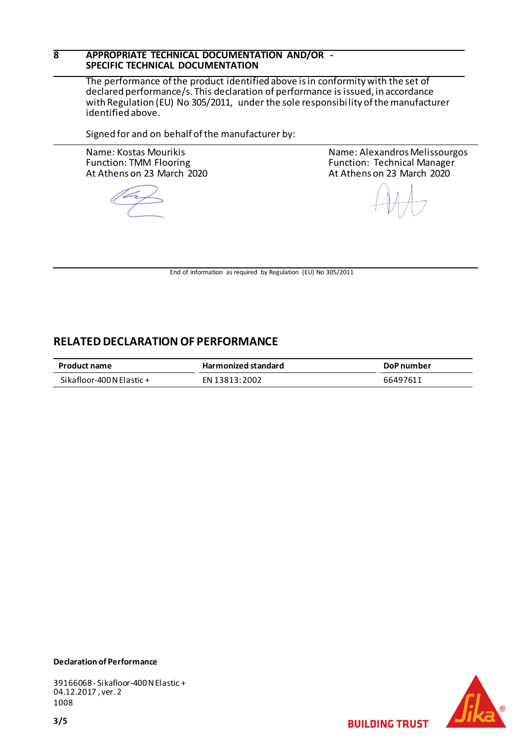## **8 APPROPRIATE TECHNICAL DOCUMENTATION AND/OR - SPECIFIC TECHNICAL DOCUMENTATION**

The performance of the product identified above is in conformity with the set of declared performance/s. This declaration of performance is issued, in accordance with Regulation (EU) No 305/2011, under the sole responsibility of the manufacturer identified above.

Signed for and on behalf of the manufacturer by:

Name: Kostas Mourikis Function: TMM Flooring At Athens on 23 March 2020 Name: Alexandros Melissourgos Function: Technical Manager At Athens on 23 March 2020

End of information as required by Regulation (EU) No 305/2011

## **RELATED DECLARATION OF PERFORMANCE**

| <b>Product name</b>         | <b>Harmonized standard</b> | DoP number |
|-----------------------------|----------------------------|------------|
| Si kafloor-400 N El astic + | EN 13813:2002              | 66497611   |

## **Declaration of Performance**

39166068- Sikafloor-400 N Elastic + 04.12.2017 , ver. 2 1008



**BUILDING TRUST**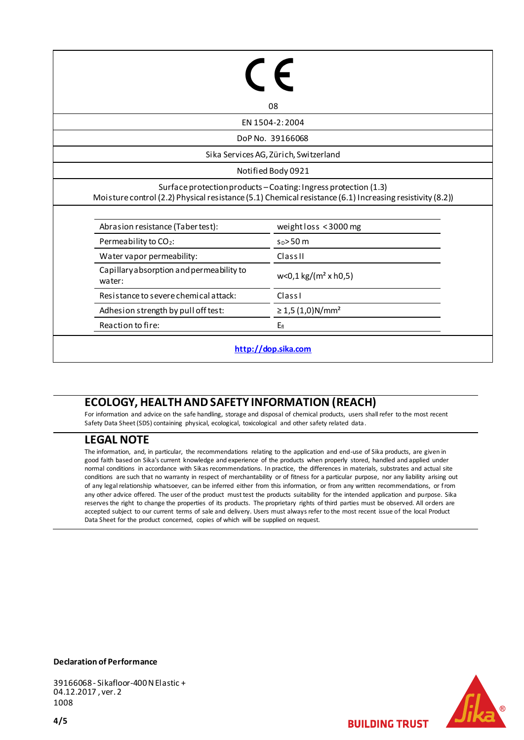|                                                    | 08                                                                                                       |
|----------------------------------------------------|----------------------------------------------------------------------------------------------------------|
|                                                    | EN 1504-2:2004                                                                                           |
|                                                    | DoP No. 39166068                                                                                         |
|                                                    | Sika Services AG, Zürich, Switzerland                                                                    |
|                                                    | Notified Body 0921                                                                                       |
|                                                    | Surface protection products - Coating: Ingress protection (1.3)                                          |
|                                                    | Moisture control (2.2) Physical resistance (5.1) Chemical resistance (6.1) Increasing resistivity (8.2)) |
| Abrasion resistance (Taber test):                  | weight loss < 3000 mg                                                                                    |
| Permeability to CO <sub>2</sub> :                  | $s_0 > 50$ m                                                                                             |
| Water vapor permeability:                          | <b>Class II</b>                                                                                          |
| Capillary absorption and permeability to<br>water: | $w<0,1$ kg/( $m2$ x h0,5)                                                                                |
| Resistance to severe chemical attack:              | ClassI                                                                                                   |
| Adhesion strength by pull off test:                | $\geq$ 1,5 (1,0)N/mm <sup>2</sup>                                                                        |

## **ECOLOGY, HEALTH AND SAFETY INFORMATION (REACH)**

For information and advice on the safe handling, storage and disposal of chemical products, users shall refer to the most recent Safety Data Sheet (SDS) containing physical, ecological, toxicological and other safety related data.

## **LEGAL NOTE**

The information, and, in particular, the recommendations relating to the application and end-use of Sika products, are given in good faith based on Sika's current knowledge and experience of the products when properly stored, handled and applied under normal conditions in accordance with Sikas recommendations. In practice, the differences in materials, substrates and actual site conditions are such that no warranty in respect of merchantability or of fitness for a particular purpose, nor any liability arising out of any legal relationship whatsoever, can be inferred either from this information, or from any written recommendations, or from any other advice offered. The user of the product must test the products suitability for the intended application and purpose. Sika reserves the right to change the properties of its products. The proprietary rights of third parties must be observed. All orders are accepted subject to our current terms of sale and delivery. Users must always refer to the most recent issue of the local Product Data Sheet for the product concerned, copies of which will be supplied on request.

#### **Declaration of Performance**

39166068- Sikafloor-400 N Elastic + 04.12.2017 , ver. 2 1008

**BUILDING TRUST**